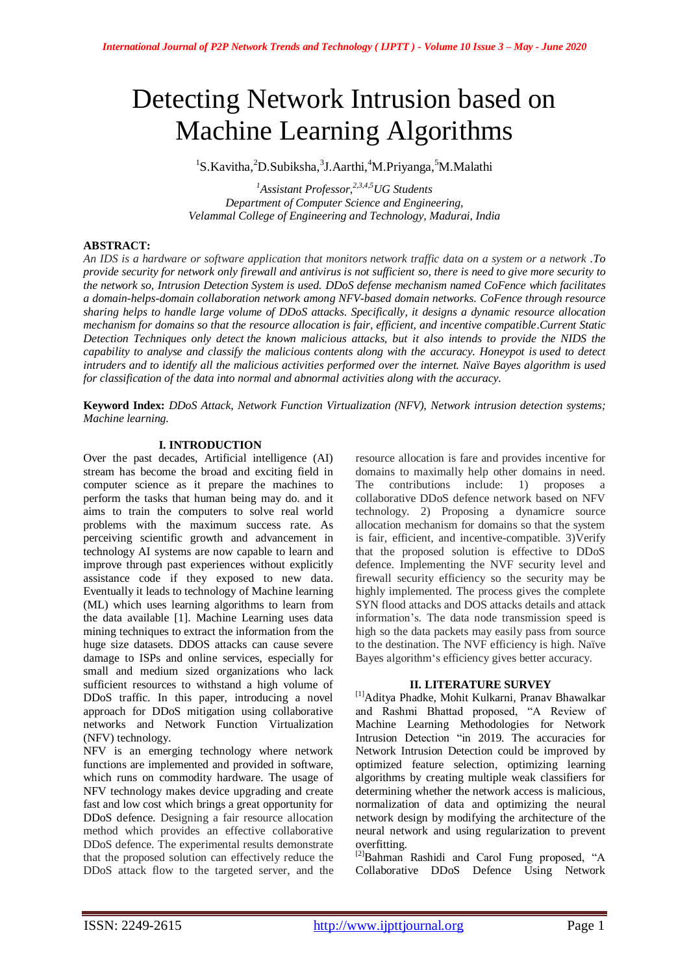# Detecting Network Intrusion based on Machine Learning Algorithms

<sup>1</sup>S.Kavitha, <sup>2</sup>D.Subiksha, <sup>3</sup>J.Aarthi, <sup>4</sup>M.Priyanga, <sup>5</sup>M.Malathi

*<sup>1</sup>Assistant Professor,2,3,4,5UG Students Department of Computer Science and Engineering, Velammal College of Engineering and Technology, Madurai, India*

## **ABSTRACT:**

*An IDS is a hardware or software application that monitors network traffic data on a system or a network .To provide security for network only firewall and antivirus is not sufficient so, there is need to give more security to the network so, Intrusion Detection System is used. DDoS defense mechanism named CoFence which facilitates a domain-helps-domain collaboration network among NFV-based domain networks. CoFence through resource sharing helps to handle large volume of DDoS attacks. Specifically, it designs a dynamic resource allocation mechanism for domains so that the resource allocation is fair, efficient, and incentive compatible.Current Static Detection Techniques only detect the known malicious attacks, but it also intends to provide the NIDS the capability to analyse and classify the malicious contents along with the accuracy. Honeypot is used to detect intruders and to identify all the malicious activities performed over the internet. Naïve Bayes algorithm is used for classification of the data into normal and abnormal activities along with the accuracy.*

**Keyword Index:** *DDoS Attack, Network Function Virtualization (NFV), Network intrusion detection systems; Machine learning.*

#### **I. INTRODUCTION**

Over the past decades, Artificial intelligence (AI) stream has become the broad and exciting field in computer science as it prepare the machines to perform the tasks that human being may do. and it aims to train the computers to solve real world problems with the maximum success rate. As perceiving scientific growth and advancement in technology AI systems are now capable to learn and improve through past experiences without explicitly assistance code if they exposed to new data. Eventually it leads to technology of Machine learning (ML) which uses learning algorithms to learn from the data available [1]. Machine Learning uses data mining techniques to extract the information from the huge size datasets. DDOS attacks can cause severe damage to ISPs and online services, especially for small and medium sized organizations who lack sufficient resources to withstand a high volume of DDoS traffic. In this paper, introducing a novel approach for DDoS mitigation using collaborative networks and Network Function Virtualization (NFV) technology.

NFV is an emerging technology where network functions are implemented and provided in software, which runs on commodity hardware. The usage of NFV technology makes device upgrading and create fast and low cost which brings a great opportunity for DDoS defence. Designing a fair resource allocation method which provides an effective collaborative DDoS defence. The experimental results demonstrate that the proposed solution can effectively reduce the DDoS attack flow to the targeted server, and the resource allocation is fare and provides incentive for domains to maximally help other domains in need. The contributions include: 1) proposes a collaborative DDoS defence network based on NFV technology. 2) Proposing a dynamicre source allocation mechanism for domains so that the system is fair, efficient, and incentive-compatible. 3)Verify that the proposed solution is effective to DDoS defence. Implementing the NVF security level and firewall security efficiency so the security may be highly implemented. The process gives the complete SYN flood attacks and DOS attacks details and attack information"s. The data node transmission speed is high so the data packets may easily pass from source to the destination. The NVF efficiency is high. Naïve Bayes algorithm"s efficiency gives better accuracy.

#### **II. LITERATURE SURVEY**

[1]Aditya Phadke, Mohit Kulkarni, Pranav Bhawalkar and Rashmi Bhattad proposed, "A Review of Machine Learning Methodologies for Network Intrusion Detection "in 2019. The accuracies for Network Intrusion Detection could be improved by optimized feature selection, optimizing learning algorithms by creating multiple weak classifiers for determining whether the network access is malicious, normalization of data and optimizing the neural network design by modifying the architecture of the neural network and using regularization to prevent overfitting.

<sup>[2]</sup>Bahman Rashidi and Carol Fung proposed, "A Collaborative DDoS Defence Using Network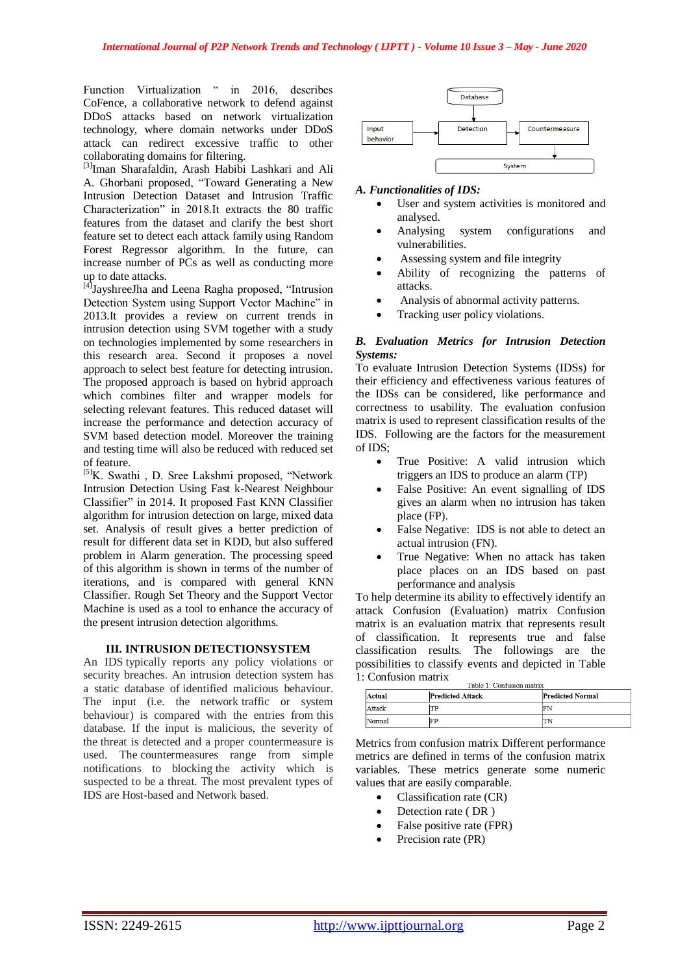Function Virtualization " in 2016, describes CoFence, a collaborative network to defend against DDoS attacks based on network virtualization technology, where domain networks under DDoS attack can redirect excessive traffic to other collaborating domains for filtering.

[3]Iman Sharafaldin, Arash Habibi Lashkari and Ali A. Ghorbani proposed, "Toward Generating a New Intrusion Detection Dataset and Intrusion Traffic Characterization" in 2018.It extracts the 80 traffic features from the dataset and clarify the best short feature set to detect each attack family using Random Forest Regressor algorithm. In the future, can increase number of PCs as well as conducting more up to date attacks.

[4]JayshreeJha and Leena Ragha proposed, "Intrusion Detection System using Support Vector Machine" in 2013.It provides a review on current trends in intrusion detection using SVM together with a study on technologies implemented by some researchers in this research area. Second it proposes a novel approach to select best feature for detecting intrusion. The proposed approach is based on hybrid approach which combines filter and wrapper models for selecting relevant features. This reduced dataset will increase the performance and detection accuracy of SVM based detection model. Moreover the training and testing time will also be reduced with reduced set of feature.

[5]K. Swathi , D. Sree Lakshmi proposed, "Network Intrusion Detection Using Fast k-Nearest Neighbour Classifier" in 2014. It proposed Fast KNN Classifier algorithm for intrusion detection on large, mixed data set. Analysis of result gives a better prediction of result for different data set in KDD, but also suffered problem in Alarm generation. The processing speed of this algorithm is shown in terms of the number of iterations, and is compared with general KNN Classifier. Rough Set Theory and the Support Vector Machine is used as a tool to enhance the accuracy of the present intrusion detection algorithms.

## **III. INTRUSION DETECTIONSYSTEM**

An IDS typically reports any policy violations or security breaches. An intrusion detection system has a static database of identified malicious behaviour. The input (i.e. the network traffic or system behaviour) is compared with the entries from this database. If the input is malicious, the severity of the threat is detected and a proper countermeasure is used. The countermeasures range from simple notifications to blocking the activity which is suspected to be a threat. The most prevalent types of IDS are Host-based and Network based.



## *A. Functionalities of IDS:*

- User and system activities is monitored and analysed.
- Analysing system configurations and vulnerabilities.
- Assessing system and file integrity
- Ability of recognizing the patterns of attacks.
- Analysis of abnormal activity patterns.
- Tracking user policy violations.

## *B. Evaluation Metrics for Intrusion Detection Systems:*

To evaluate Intrusion Detection Systems (IDSs) for their efficiency and effectiveness various features of the IDSs can be considered, like performance and correctness to usability. The evaluation confusion matrix is used to represent classification results of the IDS. Following are the factors for the measurement of IDS;

- True Positive: A valid intrusion which triggers an IDS to produce an alarm (TP)
- False Positive: An event signalling of IDS gives an alarm when no intrusion has taken place (FP).
- False Negative: IDS is not able to detect an actual intrusion (FN).
- True Negative: When no attack has taken place places on an IDS based on past performance and analysis

To help determine its ability to effectively identify an attack Confusion (Evaluation) matrix Confusion matrix is an evaluation matrix that represents result of classification. It represents true and false classification results. The followings are the possibilities to classify events and depicted in Table 1: Confusion matrix

| Table 1: Confusion matrix |                         |                         |  |  |  |  |
|---------------------------|-------------------------|-------------------------|--|--|--|--|
| Actual                    | <b>Predicted Attack</b> | <b>Predicted Normal</b> |  |  |  |  |
| Attack                    | TР                      | FN                      |  |  |  |  |
| Normal                    | FP                      |                         |  |  |  |  |

Metrics from confusion matrix Different performance metrics are defined in terms of the confusion matrix variables. These metrics generate some numeric values that are easily comparable.

- Classification rate (CR)
- Detection rate ( DR )
- False positive rate (FPR)
- Precision rate (PR)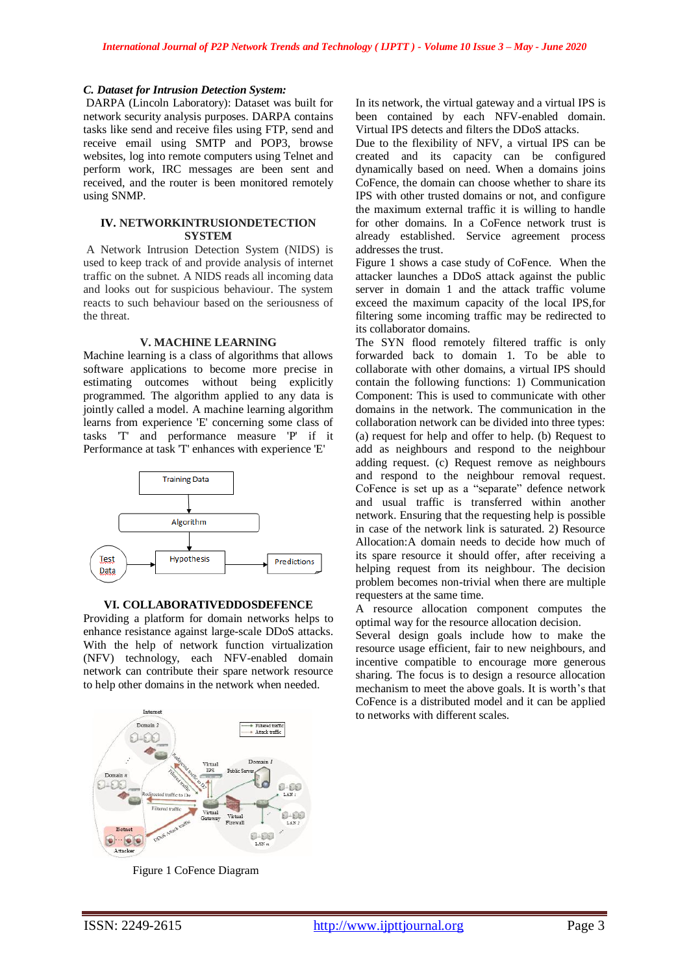#### *C. Dataset for Intrusion Detection System:*

DARPA (Lincoln Laboratory): Dataset was built for network security analysis purposes. DARPA contains tasks like send and receive files using FTP, send and receive email using SMTP and POP3, browse websites, log into remote computers using Telnet and perform work, IRC messages are been sent and received, and the router is been monitored remotely using SNMP.

#### **IV. NETWORKINTRUSIONDETECTION SYSTEM**

A Network Intrusion Detection System (NIDS) is used to keep track of and provide analysis of internet traffic on the subnet. A NIDS reads all incoming data and looks out for suspicious behaviour. The system reacts to such behaviour based on the seriousness of the threat.

#### **V. MACHINE LEARNING**

Machine learning is a class of algorithms that allows software applications to become more precise in estimating outcomes without being explicitly programmed. The algorithm applied to any data is jointly called a model. A machine learning algorithm learns from experience 'E' concerning some class of tasks 'T' and performance measure 'P' if it Performance at task 'T' enhances with experience 'E'



#### **VI. COLLABORATIVEDDOSDEFENCE**

Providing a platform for domain networks helps to enhance resistance against large-scale DDoS attacks. With the help of network function virtualization (NFV) technology, each NFV-enabled domain network can contribute their spare network resource to help other domains in the network when needed.



Figure 1 CoFence Diagram

In its network, the virtual gateway and a virtual IPS is been contained by each NFV-enabled domain. Virtual IPS detects and filters the DDoS attacks.

Due to the flexibility of NFV, a virtual IPS can be created and its capacity can be configured dynamically based on need. When a domains joins CoFence, the domain can choose whether to share its IPS with other trusted domains or not, and configure the maximum external traffic it is willing to handle for other domains. In a CoFence network trust is already established. Service agreement process addresses the trust.

Figure 1 shows a case study of CoFence. When the attacker launches a DDoS attack against the public server in domain 1 and the attack traffic volume exceed the maximum capacity of the local IPS,for filtering some incoming traffic may be redirected to its collaborator domains.

The SYN flood remotely filtered traffic is only forwarded back to domain 1. To be able to collaborate with other domains, a virtual IPS should contain the following functions: 1) Communication Component: This is used to communicate with other domains in the network. The communication in the collaboration network can be divided into three types: (a) request for help and offer to help. (b) Request to add as neighbours and respond to the neighbour adding request. (c) Request remove as neighbours and respond to the neighbour removal request. CoFence is set up as a "separate" defence network and usual traffic is transferred within another network. Ensuring that the requesting help is possible in case of the network link is saturated. 2) Resource Allocation:A domain needs to decide how much of its spare resource it should offer, after receiving a helping request from its neighbour. The decision problem becomes non-trivial when there are multiple requesters at the same time.

A resource allocation component computes the optimal way for the resource allocation decision.

Several design goals include how to make the resource usage efficient, fair to new neighbours, and incentive compatible to encourage more generous sharing. The focus is to design a resource allocation mechanism to meet the above goals. It is worth"s that CoFence is a distributed model and it can be applied to networks with different scales.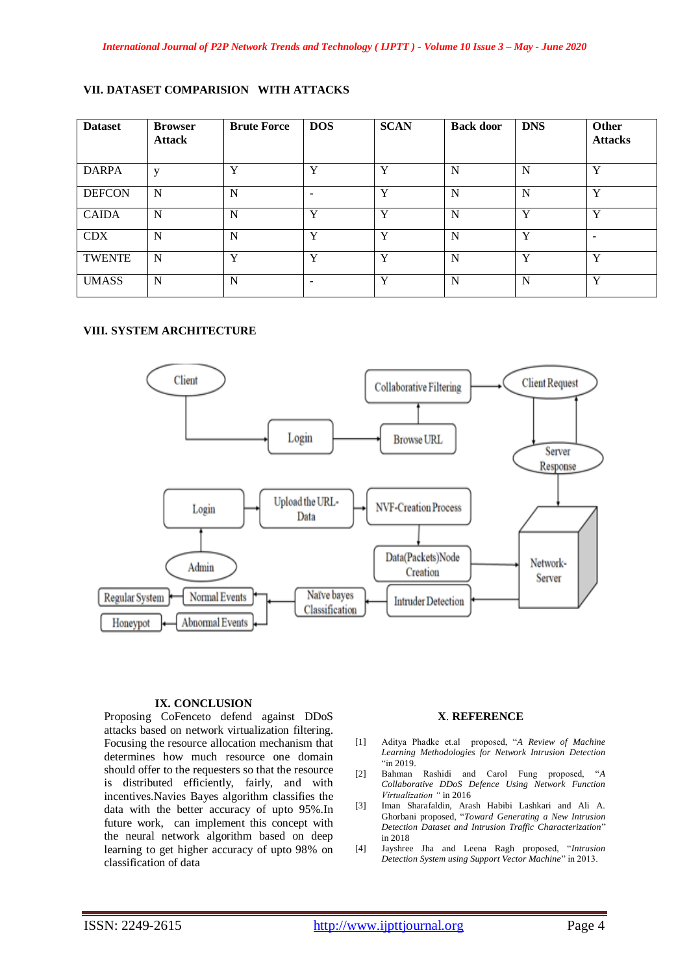## **VII. DATASET COMPARISION WITH ATTACKS**

| <b>Dataset</b> | <b>Browser</b><br><b>Attack</b> | <b>Brute Force</b> | <b>DOS</b>               | <b>SCAN</b> | <b>Back door</b> | <b>DNS</b> | Other<br><b>Attacks</b>  |
|----------------|---------------------------------|--------------------|--------------------------|-------------|------------------|------------|--------------------------|
| <b>DARPA</b>   | V                               | Y                  | Y                        | Y           | N                | N          | $\mathbf{v}$             |
| <b>DEFCON</b>  | N                               | N                  | $\overline{\phantom{0}}$ | Y           | N                | N          | Y                        |
| <b>CAIDA</b>   | N                               | N                  | Y                        | Y           | N                | Y          | $\mathbf{v}$             |
| <b>CDX</b>     | N                               | N                  | Y                        | Y           | N                | Y          | $\overline{\phantom{0}}$ |
| <b>TWENTE</b>  | N                               | Y                  | Y                        | Y           | N                | Y          | $\mathbf{v}$             |
| <b>UMASS</b>   | N                               | N                  |                          | Y           | N                | N          | Y                        |

## **VIII. SYSTEM ARCHITECTURE**



#### **IX. CONCLUSION**

Proposing CoFenceto defend against DDoS attacks based on network virtualization filtering. Focusing the resource allocation mechanism that determines how much resource one domain should offer to the requesters so that the resource is distributed efficiently, fairly, and with incentives.Navies Bayes algorithm classifies the data with the better accuracy of upto 95%.In future work, can implement this concept with the neural network algorithm based on deep learning to get higher accuracy of upto 98% on classification of data

#### **X**. **REFERENCE**

- [1] Aditya Phadke et.al proposed, "*A Review of Machine Learning Methodologies for Network Intrusion Detection*  "in 2019.
- [2] Bahman Rashidi and Carol Fung proposed, "*A Collaborative DDoS Defence Using Network Function Virtualization "* in 2016
- [3] Iman Sharafaldin, Arash Habibi Lashkari and Ali A. Ghorbani proposed, "*Toward Generating a New Intrusion Detection Dataset and Intrusion Traffic Characterization*" in 2018
- [4] Jayshree Jha and Leena Ragh proposed, "*Intrusion Detection System using Support Vector Machine*" in 2013.